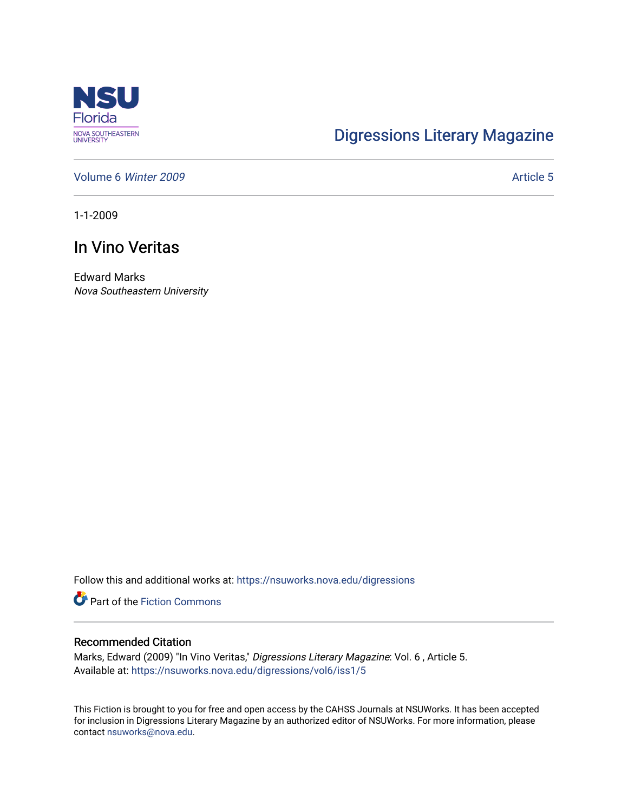

## [Digressions Literary Magazine](https://nsuworks.nova.edu/digressions)

[Volume 6](https://nsuworks.nova.edu/digressions/vol6) Winter 2009 Article 5

1-1-2009

## In Vino Veritas

Edward Marks Nova Southeastern University

Follow this and additional works at: [https://nsuworks.nova.edu/digressions](https://nsuworks.nova.edu/digressions?utm_source=nsuworks.nova.edu%2Fdigressions%2Fvol6%2Fiss1%2F5&utm_medium=PDF&utm_campaign=PDFCoverPages) 

**Part of the Fiction Commons** 

## Recommended Citation

Marks, Edward (2009) "In Vino Veritas," Digressions Literary Magazine: Vol. 6 , Article 5. Available at: [https://nsuworks.nova.edu/digressions/vol6/iss1/5](https://nsuworks.nova.edu/digressions/vol6/iss1/5?utm_source=nsuworks.nova.edu%2Fdigressions%2Fvol6%2Fiss1%2F5&utm_medium=PDF&utm_campaign=PDFCoverPages) 

This Fiction is brought to you for free and open access by the CAHSS Journals at NSUWorks. It has been accepted for inclusion in Digressions Literary Magazine by an authorized editor of NSUWorks. For more information, please contact [nsuworks@nova.edu.](mailto:nsuworks@nova.edu)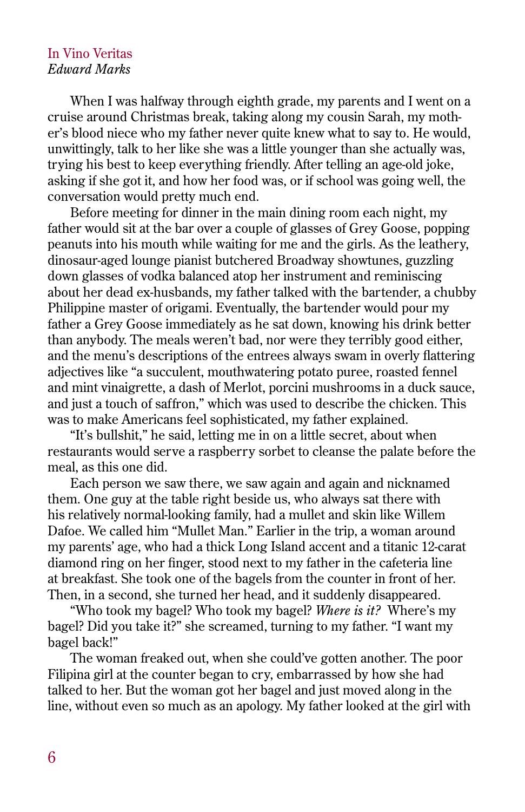## In Vino Veritas *Edward Marks*

When I was halfway through eighth grade, my parents and I went on a cruise around Christmas break, taking along my cousin Sarah, my mother's blood niece who my father never quite knew what to say to. He would, unwittingly, talk to her like she was a little younger than she actually was, trying his best to keep everything friendly. After telling an age-old joke, asking if she got it, and how her food was, or if school was going well, the conversation would pretty much end.

Before meeting for dinner in the main dining room each night, my father would sit at the bar over a couple of glasses of Grey Goose, popping peanuts into his mouth while waiting for me and the girls. As the leathery, dinosaur-aged lounge pianist butchered Broadway showtunes, guzzling down glasses of vodka balanced atop her instrument and reminiscing about her dead ex-husbands, my father talked with the bartender, a chubby Philippine master of origami. Eventually, the bartender would pour my father a Grey Goose immediately as he sat down, knowing his drink better than anybody. The meals weren't bad, nor were they terribly good either, and the menu's descriptions of the entrees always swam in overly flattering adjectives like "a succulent, mouthwatering potato puree, roasted fennel and mint vinaigrette, a dash of Merlot, porcini mushrooms in a duck sauce, and just a touch of saffron," which was used to describe the chicken. This was to make Americans feel sophisticated, my father explained.

"It's bullshit," he said, letting me in on a little secret, about when restaurants would serve a raspberry sorbet to cleanse the palate before the meal, as this one did.

Each person we saw there, we saw again and again and nicknamed them. One guy at the table right beside us, who always sat there with his relatively normal-looking family, had a mullet and skin like Willem Dafoe. We called him "Mullet Man." Earlier in the trip, a woman around my parents' age, who had a thick Long Island accent and a titanic 12-carat diamond ring on her finger, stood next to my father in the cafeteria line at breakfast. She took one of the bagels from the counter in front of her. Then, in a second, she turned her head, and it suddenly disappeared.

"Who took my bagel? Who took my bagel? *Where is it?* Where's my bagel? Did you take it?" she screamed, turning to my father. "I want my bagel back!"

The woman freaked out, when she could've gotten another. The poor Filipina girl at the counter began to cry, embarrassed by how she had talked to her. But the woman got her bagel and just moved along in the line, without even so much as an apology. My father looked at the girl with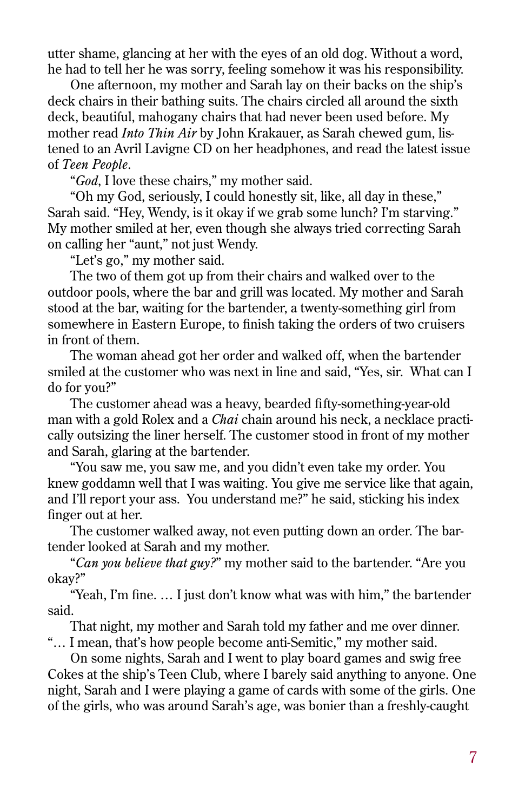utter shame, glancing at her with the eyes of an old dog. Without a word, he had to tell her he was sorry, feeling somehow it was his responsibility.

One afternoon, my mother and Sarah lay on their backs on the ship's deck chairs in their bathing suits. The chairs circled all around the sixth deck, beautiful, mahogany chairs that had never been used before. My mother read *Into Thin Air* by John Krakauer, as Sarah chewed gum, listened to an Avril Lavigne CD on her headphones, and read the latest issue of *Teen People*.

"*God*, I love these chairs," my mother said.

"Oh my God, seriously, I could honestly sit, like, all day in these," Sarah said. "Hey, Wendy, is it okay if we grab some lunch? I'm starving." My mother smiled at her, even though she always tried correcting Sarah on calling her "aunt," not just Wendy.

"Let's go," my mother said.

The two of them got up from their chairs and walked over to the outdoor pools, where the bar and grill was located. My mother and Sarah stood at the bar, waiting for the bartender, a twenty-something girl from somewhere in Eastern Europe, to finish taking the orders of two cruisers in front of them.

The woman ahead got her order and walked off, when the bartender smiled at the customer who was next in line and said, "Yes, sir. What can I do for you?"

The customer ahead was a heavy, bearded fifty-something-year-old man with a gold Rolex and a *Chai* chain around his neck, a necklace practically outsizing the liner herself. The customer stood in front of my mother and Sarah, glaring at the bartender.

"You saw me, you saw me, and you didn't even take my order. You knew goddamn well that I was waiting. You give me service like that again, and I'll report your ass. You understand me?" he said, sticking his index finger out at her.

The customer walked away, not even putting down an order. The bartender looked at Sarah and my mother.

"*Can you believe that guy?*" my mother said to the bartender. "Are you okay?"

"Yeah, I'm fine. … I just don't know what was with him," the bartender said.

That night, my mother and Sarah told my father and me over dinner. "… I mean, that's how people become anti-Semitic," my mother said.

On some nights, Sarah and I went to play board games and swig free Cokes at the ship's Teen Club, where I barely said anything to anyone. One night, Sarah and I were playing a game of cards with some of the girls. One of the girls, who was around Sarah's age, was bonier than a freshly-caught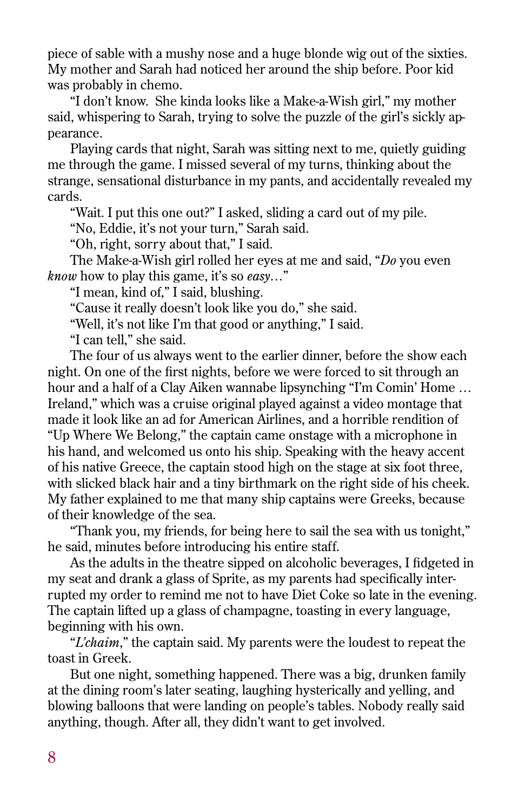piece of sable with a mushy nose and a huge blonde wig out of the sixties. My mother and Sarah had noticed her around the ship before. Poor kid was probably in chemo.

"I don't know. She kinda looks like a Make-a-Wish girl," my mother said, whispering to Sarah, trying to solve the puzzle of the girl's sickly appearance.

Playing cards that night, Sarah was sitting next to me, quietly guiding me through the game. I missed several of my turns, thinking about the strange, sensational disturbance in my pants, and accidentally revealed my cards.

"Wait. I put this one out?" I asked, sliding a card out of my pile.

"No, Eddie, it's not your turn," Sarah said.

"Oh, right, sorry about that," I said.

The Make-a-Wish girl rolled her eyes at me and said, "*Do* you even *know* how to play this game, it's so *easy*…"

"I mean, kind of," I said, blushing.

"Cause it really doesn't look like you do," she said.

"Well, it's not like I'm that good or anything," I said.

"I can tell," she said.

The four of us always went to the earlier dinner, before the show each night. On one of the first nights, before we were forced to sit through an hour and a half of a Clay Aiken wannabe lipsynching "I'm Comin' Home … Ireland," which was a cruise original played against a video montage that made it look like an ad for American Airlines, and a horrible rendition of "Up Where We Belong," the captain came onstage with a microphone in his hand, and welcomed us onto his ship. Speaking with the heavy accent of his native Greece, the captain stood high on the stage at six foot three, with slicked black hair and a tiny birthmark on the right side of his cheek. My father explained to me that many ship captains were Greeks, because of their knowledge of the sea.

"Thank you, my friends, for being here to sail the sea with us tonight," he said, minutes before introducing his entire staff.

As the adults in the theatre sipped on alcoholic beverages, I fidgeted in my seat and drank a glass of Sprite, as my parents had specifically interrupted my order to remind me not to have Diet Coke so late in the evening. The captain lifted up a glass of champagne, toasting in every language, beginning with his own.

"*L'chaim*," the captain said. My parents were the loudest to repeat the toast in Greek.

But one night, something happened. There was a big, drunken family at the dining room's later seating, laughing hysterically and yelling, and blowing balloons that were landing on people's tables. Nobody really said anything, though. After all, they didn't want to get involved.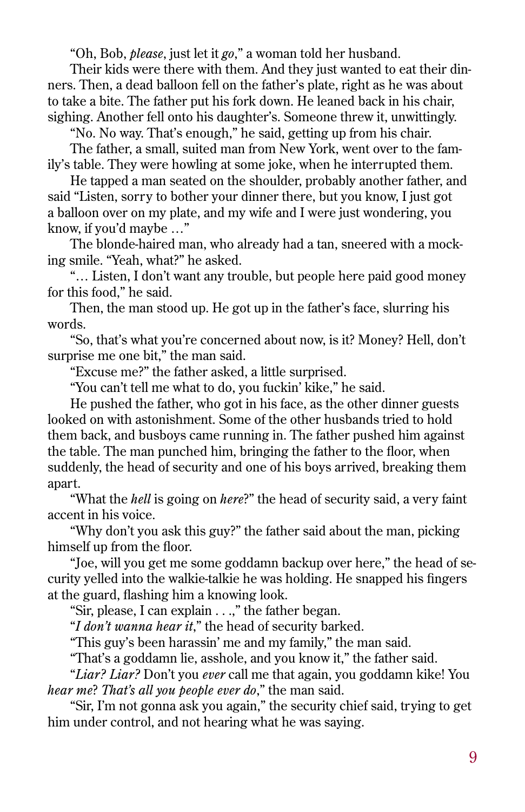"Oh, Bob, *please*, just let it *go*," a woman told her husband.

Their kids were there with them. And they just wanted to eat their dinners. Then, a dead balloon fell on the father's plate, right as he was about to take a bite. The father put his fork down. He leaned back in his chair, sighing. Another fell onto his daughter's. Someone threw it, unwittingly.

"No. No way. That's enough," he said, getting up from his chair.

The father, a small, suited man from New York, went over to the family's table. They were howling at some joke, when he interrupted them.

He tapped a man seated on the shoulder, probably another father, and said "Listen, sorry to bother your dinner there, but you know, I just got a balloon over on my plate, and my wife and I were just wondering, you know, if you'd maybe …"

The blonde-haired man, who already had a tan, sneered with a mocking smile. "Yeah, what?" he asked.

"… Listen, I don't want any trouble, but people here paid good money for this food," he said.

Then, the man stood up. He got up in the father's face, slurring his words.

"So, that's what you're concerned about now, is it? Money? Hell, don't surprise me one bit," the man said.

"Excuse me?" the father asked, a little surprised.

"You can't tell me what to do, you fuckin' kike," he said.

He pushed the father, who got in his face, as the other dinner guests looked on with astonishment. Some of the other husbands tried to hold them back, and busboys came running in. The father pushed him against the table. The man punched him, bringing the father to the floor, when suddenly, the head of security and one of his boys arrived, breaking them apart.

"What the *hell* is going on *here*?" the head of security said, a very faint accent in his voice.

"Why don't you ask this guy?" the father said about the man, picking himself up from the floor.

"Joe, will you get me some goddamn backup over here," the head of security yelled into the walkie-talkie he was holding. He snapped his fingers at the guard, flashing him a knowing look.

"Sir, please, I can explain . . .," the father began.

"*I don't wanna hear it*," the head of security barked.

"This guy's been harassin' me and my family," the man said.

"That's a goddamn lie, asshole, and you know it," the father said.

"*Liar? Liar?* Don't you *ever* call me that again, you goddamn kike! You *hear me*? *That's all you people ever do*," the man said.

"Sir, I'm not gonna ask you again," the security chief said, trying to get him under control, and not hearing what he was saying.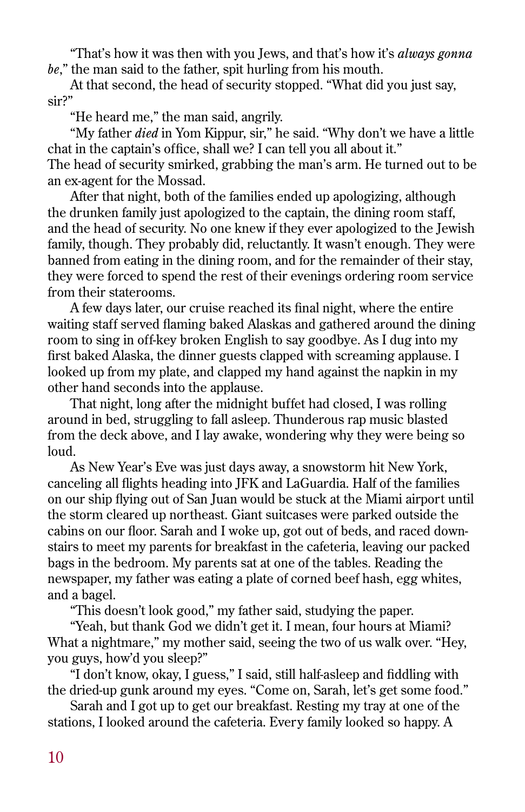"That's how it was then with you Jews, and that's how it's *always gonna be*," the man said to the father, spit hurling from his mouth.

At that second, the head of security stopped. "What did you just say, sir?"

"He heard me," the man said, angrily.

"My father *died* in Yom Kippur, sir," he said. "Why don't we have a little chat in the captain's office, shall we? I can tell you all about it." The head of security smirked, grabbing the man's arm. He turned out to be an ex-agent for the Mossad.

After that night, both of the families ended up apologizing, although the drunken family just apologized to the captain, the dining room staff, and the head of security. No one knew if they ever apologized to the Jewish family, though. They probably did, reluctantly. It wasn't enough. They were banned from eating in the dining room, and for the remainder of their stay, they were forced to spend the rest of their evenings ordering room service from their staterooms.

A few days later, our cruise reached its final night, where the entire waiting staff served flaming baked Alaskas and gathered around the dining room to sing in off-key broken English to say goodbye. As I dug into my first baked Alaska, the dinner guests clapped with screaming applause. I looked up from my plate, and clapped my hand against the napkin in my other hand seconds into the applause.

That night, long after the midnight buffet had closed, I was rolling around in bed, struggling to fall asleep. Thunderous rap music blasted from the deck above, and I lay awake, wondering why they were being so loud.

As New Year's Eve was just days away, a snowstorm hit New York, canceling all flights heading into JFK and LaGuardia. Half of the families on our ship flying out of San Juan would be stuck at the Miami airport until the storm cleared up northeast. Giant suitcases were parked outside the cabins on our floor. Sarah and I woke up, got out of beds, and raced downstairs to meet my parents for breakfast in the cafeteria, leaving our packed bags in the bedroom. My parents sat at one of the tables. Reading the newspaper, my father was eating a plate of corned beef hash, egg whites, and a bagel.

"This doesn't look good," my father said, studying the paper.

"Yeah, but thank God we didn't get it. I mean, four hours at Miami? What a nightmare," my mother said, seeing the two of us walk over. "Hey, you guys, how'd you sleep?"

"I don't know, okay, I guess," I said, still half-asleep and fiddling with the dried-up gunk around my eyes. "Come on, Sarah, let's get some food."

Sarah and I got up to get our breakfast. Resting my tray at one of the stations, I looked around the cafeteria. Every family looked so happy. A